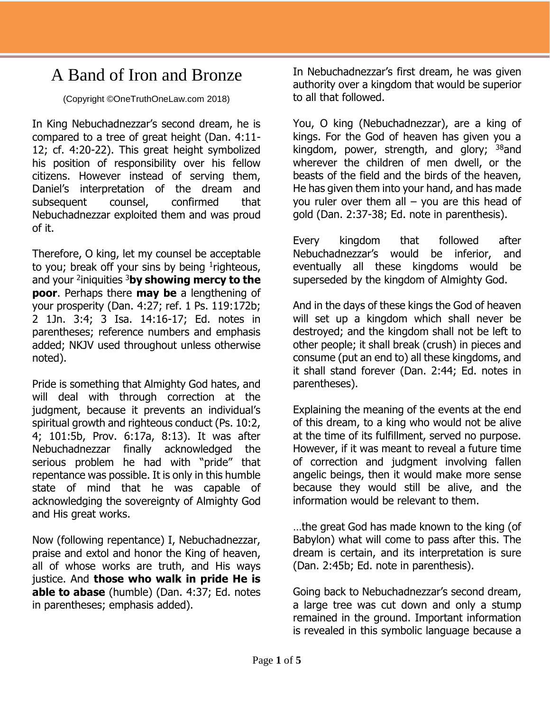## A Band of Iron and Bronze

(Copyright ©OneTruthOneLaw.com 2018)

In King Nebuchadnezzar's second dream, he is compared to a tree of great height (Dan. 4:11- 12; cf. 4:20-22). This great height symbolized his position of responsibility over his fellow citizens. However instead of serving them, Daniel's interpretation of the dream and subsequent counsel, confirmed that Nebuchadnezzar exploited them and was proud of it.

Therefore, O king, let my counsel be acceptable to you; break off your sins by being  $1$ righteous, and your <sup>2</sup> iniquities <sup>3</sup>**by showing mercy to the poor**. Perhaps there **may be** a lengthening of your prosperity (Dan. 4:27; ref. 1 Ps. 119:172b; 2 1Jn. 3:4; 3 Isa. 14:16-17; Ed. notes in parentheses; reference numbers and emphasis added; NKJV used throughout unless otherwise noted).

Pride is something that Almighty God hates, and will deal with through correction at the judgment, because it prevents an individual's spiritual growth and righteous conduct (Ps. 10:2, 4; 101:5b, Prov. 6:17a, 8:13). It was after Nebuchadnezzar finally acknowledged the serious problem he had with "pride" that repentance was possible. It is only in this humble state of mind that he was capable of acknowledging the sovereignty of Almighty God and His great works.

Now (following repentance) I, Nebuchadnezzar, praise and extol and honor the King of heaven, all of whose works are truth, and His ways justice. And **those who walk in pride He is able to abase** (humble) (Dan. 4:37; Ed. notes in parentheses; emphasis added).

In Nebuchadnezzar's first dream, he was given authority over a kingdom that would be superior to all that followed.

You, O king (Nebuchadnezzar), are a king of kings. For the God of heaven has given you a kingdom, power, strength, and glory;  $38$  and wherever the children of men dwell, or the beasts of the field and the birds of the heaven, He has given them into your hand, and has made you ruler over them all  $-$  you are this head of gold (Dan. 2:37-38; Ed. note in parenthesis).

Every kingdom that followed after Nebuchadnezzar's would be inferior, and eventually all these kingdoms would be superseded by the kingdom of Almighty God.

And in the days of these kings the God of heaven will set up a kingdom which shall never be destroyed; and the kingdom shall not be left to other people; it shall break (crush) in pieces and consume (put an end to) all these kingdoms, and it shall stand forever (Dan. 2:44; Ed. notes in parentheses).

Explaining the meaning of the events at the end of this dream, to a king who would not be alive at the time of its fulfillment, served no purpose. However, if it was meant to reveal a future time of correction and judgment involving fallen angelic beings, then it would make more sense because they would still be alive, and the information would be relevant to them.

…the great God has made known to the king (of Babylon) what will come to pass after this. The dream is certain, and its interpretation is sure (Dan. 2:45b; Ed. note in parenthesis).

Going back to Nebuchadnezzar's second dream, a large tree was cut down and only a stump remained in the ground. Important information is revealed in this symbolic language because a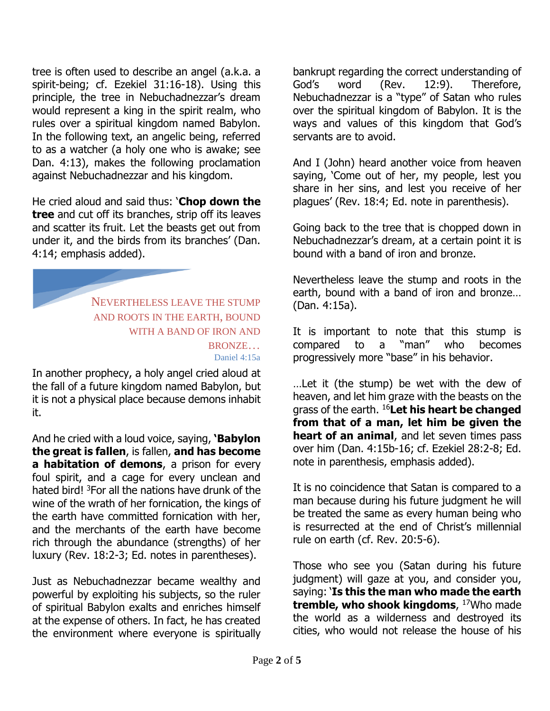tree is often used to describe an angel (a.k.a. a spirit-being; cf. Ezekiel 31:16-18). Using this principle, the tree in Nebuchadnezzar's dream would represent a king in the spirit realm, who rules over a spiritual kingdom named Babylon. In the following text, an angelic being, referred to as a watcher (a holy one who is awake; see Dan. 4:13), makes the following proclamation against Nebuchadnezzar and his kingdom.

He cried aloud and said thus: '**Chop down the tree** and cut off its branches, strip off its leaves and scatter its fruit. Let the beasts get out from under it, and the birds from its branches' (Dan. 4:14; emphasis added).

NEVERTHELESS LEAVE THE STUMP AND ROOTS IN THE EARTH, BOUND WITH A BAND OF IRON AND BRONZE… Daniel 4:15a

In another prophecy, a holy angel cried aloud at the fall of a future kingdom named Babylon, but it is not a physical place because demons inhabit it.

And he cried with a loud voice, saying, **'Babylon the great is fallen**, is fallen, **and has become a habitation of demons**, a prison for every foul spirit, and a cage for every unclean and hated bird! <sup>3</sup>For all the nations have drunk of the wine of the wrath of her fornication, the kings of the earth have committed fornication with her, and the merchants of the earth have become rich through the abundance (strengths) of her luxury (Rev. 18:2-3; Ed. notes in parentheses).

Just as Nebuchadnezzar became wealthy and powerful by exploiting his subjects, so the ruler of spiritual Babylon exalts and enriches himself at the expense of others. In fact, he has created the environment where everyone is spiritually

bankrupt regarding the correct understanding of God's word (Rev. 12:9). Therefore, Nebuchadnezzar is a "type" of Satan who rules over the spiritual kingdom of Babylon. It is the ways and values of this kingdom that God's servants are to avoid.

And I (John) heard another voice from heaven saying, 'Come out of her, my people, lest you share in her sins, and lest you receive of her plagues' (Rev. 18:4; Ed. note in parenthesis).

Going back to the tree that is chopped down in Nebuchadnezzar's dream, at a certain point it is bound with a band of iron and bronze.

Nevertheless leave the stump and roots in the earth, bound with a band of iron and bronze… (Dan. 4:15a).

It is important to note that this stump is compared to a "man" who becomes progressively more "base" in his behavior.

…Let it (the stump) be wet with the dew of heaven, and let him graze with the beasts on the grass of the earth. <sup>16</sup>**Let his heart be changed from that of a man, let him be given the heart of an animal**, and let seven times pass over him (Dan. 4:15b-16; cf. Ezekiel 28:2-8; Ed. note in parenthesis, emphasis added).

It is no coincidence that Satan is compared to a man because during his future judgment he will be treated the same as every human being who is resurrected at the end of Christ's millennial rule on earth (cf. Rev. 20:5-6).

Those who see you (Satan during his future judgment) will gaze at you, and consider you, saying: '**Is this the man who made the earth tremble, who shook kingdoms**, <sup>17</sup>Who made the world as a wilderness and destroyed its cities, who would not release the house of his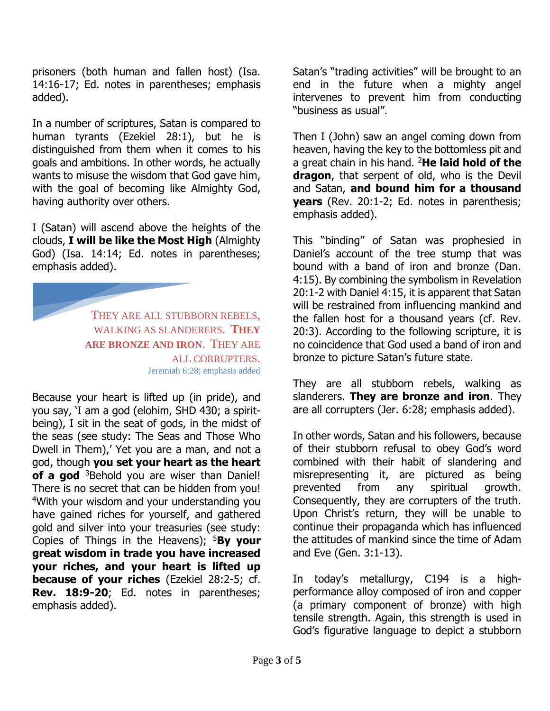prisoners (both human and fallen host) (Isa. 14:16-17; Ed. notes in parentheses; emphasis added).

In a number of scriptures, Satan is compared to human tyrants (Ezekiel 28:1), but he is distinguished from them when it comes to his goals and ambitions. In other words, he actually wants to misuse the wisdom that God gave him, with the goal of becoming like Almighty God, having authority over others.

I (Satan) will ascend above the heights of the clouds, **I will be like the Most High** (Almighty God) (Isa. 14:14; Ed. notes in parentheses; emphasis added).

> THEY ARE ALL STUBBORN REBELS, WALKING AS SLANDERERS. **THEY ARE BRONZE AND IRON**. THEY ARE ALL CORRUPTERS. Jeremiah 6:28; emphasis added

Because your heart is lifted up (in pride), and you say, 'I am a god (elohim, SHD 430; a spiritbeing), I sit in the seat of gods, in the midst of the seas (see study: The Seas and Those Who Dwell in Them),' Yet you are a man, and not a god, though **you set your heart as the heart**  of a god <sup>3</sup>Behold you are wiser than Daniel! There is no secret that can be hidden from you! <sup>4</sup>With your wisdom and your understanding you have gained riches for yourself, and gathered gold and silver into your treasuries (see study: Copies of Things in the Heavens); <sup>5</sup>**By your great wisdom in trade you have increased your riches, and your heart is lifted up because of your riches** (Ezekiel 28:2-5; cf. **Rev. 18:9-20**; Ed. notes in parentheses; emphasis added).

Satan's "trading activities" will be brought to an end in the future when a mighty angel intervenes to prevent him from conducting "business as usual".

Then I (John) saw an angel coming down from heaven, having the key to the bottomless pit and a great chain in his hand. <sup>2</sup>**He laid hold of the dragon**, that serpent of old, who is the Devil and Satan, **and bound him for a thousand years** (Rev. 20:1-2; Ed. notes in parenthesis; emphasis added).

This "binding" of Satan was prophesied in Daniel's account of the tree stump that was bound with a band of iron and bronze (Dan. 4:15). By combining the symbolism in Revelation 20:1-2 with Daniel 4:15, it is apparent that Satan will be restrained from influencing mankind and the fallen host for a thousand years (cf. Rev. 20:3). According to the following scripture, it is no coincidence that God used a band of iron and bronze to picture Satan's future state.

They are all stubborn rebels, walking as slanderers. **They are bronze and iron**. They are all corrupters (Jer. 6:28; emphasis added).

In other words, Satan and his followers, because of their stubborn refusal to obey God's word combined with their habit of slandering and misrepresenting it, are pictured as being prevented from any spiritual growth. Consequently, they are corrupters of the truth. Upon Christ's return, they will be unable to continue their propaganda which has influenced the attitudes of mankind since the time of Adam and Eve (Gen. 3:1-13).

In today's metallurgy, C194 is a highperformance alloy composed of iron and copper (a primary component of bronze) with high tensile strength. Again, this strength is used in God's figurative language to depict a stubborn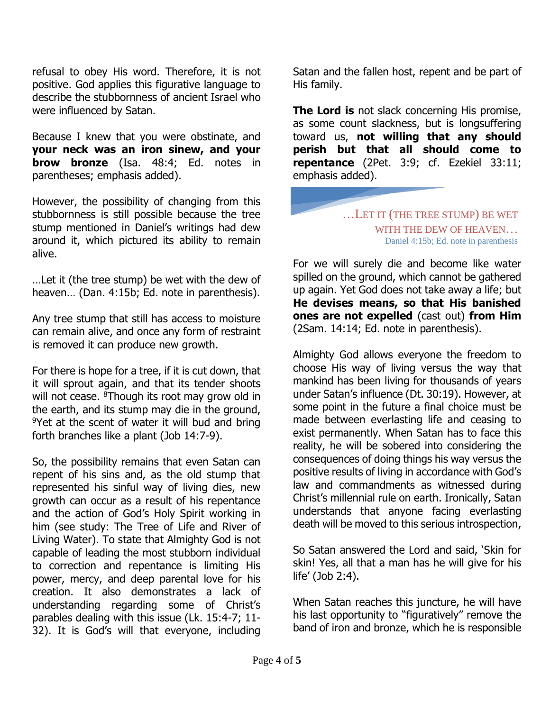refusal to obey His word. Therefore, it is not positive. God applies this figurative language to describe the stubbornness of ancient Israel who were influenced by Satan.

Because I knew that you were obstinate, and **your neck was an iron sinew, and your brow bronze** (Isa. 48:4; Ed. notes in parentheses; emphasis added).

However, the possibility of changing from this stubbornness is still possible because the tree stump mentioned in Daniel's writings had dew around it, which pictured its ability to remain alive.

…Let it (the tree stump) be wet with the dew of heaven… (Dan. 4:15b; Ed. note in parenthesis).

Any tree stump that still has access to moisture can remain alive, and once any form of restraint is removed it can produce new growth.

For there is hope for a tree, if it is cut down, that it will sprout again, and that its tender shoots will not cease. <sup>8</sup>Though its root may grow old in the earth, and its stump may die in the ground, <sup>9</sup>Yet at the scent of water it will bud and bring forth branches like a plant (Job 14:7-9).

So, the possibility remains that even Satan can repent of his sins and, as the old stump that represented his sinful way of living dies, new growth can occur as a result of his repentance and the action of God's Holy Spirit working in him (see study: The Tree of Life and River of Living Water). To state that Almighty God is not capable of leading the most stubborn individual to correction and repentance is limiting His power, mercy, and deep parental love for his creation. It also demonstrates a lack of understanding regarding some of Christ's parables dealing with this issue (Lk. 15:4-7; 11- 32). It is God's will that everyone, including Satan and the fallen host, repent and be part of His family.

**The Lord is** not slack concerning His promise, as some count slackness, but is longsuffering toward us, **not willing that any should perish but that all should come to repentance** (2Pet. 3:9; cf. Ezekiel 33:11; emphasis added).

## …LET IT (THE TREE STUMP) BE WET WITH THE DEW OF HEAVEN… Daniel 4:15b; Ed. note in parenthesis

For we will surely die and become like water spilled on the ground, which cannot be gathered up again. Yet God does not take away a life; but **He devises means, so that His banished ones are not expelled** (cast out) **from Him** (2Sam. 14:14; Ed. note in parenthesis).

Almighty God allows everyone the freedom to choose His way of living versus the way that mankind has been living for thousands of years under Satan's influence (Dt. 30:19). However, at some point in the future a final choice must be made between everlasting life and ceasing to exist permanently. When Satan has to face this reality, he will be sobered into considering the consequences of doing things his way versus the positive results of living in accordance with God's law and commandments as witnessed during Christ's millennial rule on earth. Ironically, Satan understands that anyone facing everlasting death will be moved to this serious introspection,

So Satan answered the Lord and said, 'Skin for skin! Yes, all that a man has he will give for his life' (Job 2:4).

When Satan reaches this juncture, he will have his last opportunity to "figuratively" remove the band of iron and bronze, which he is responsible